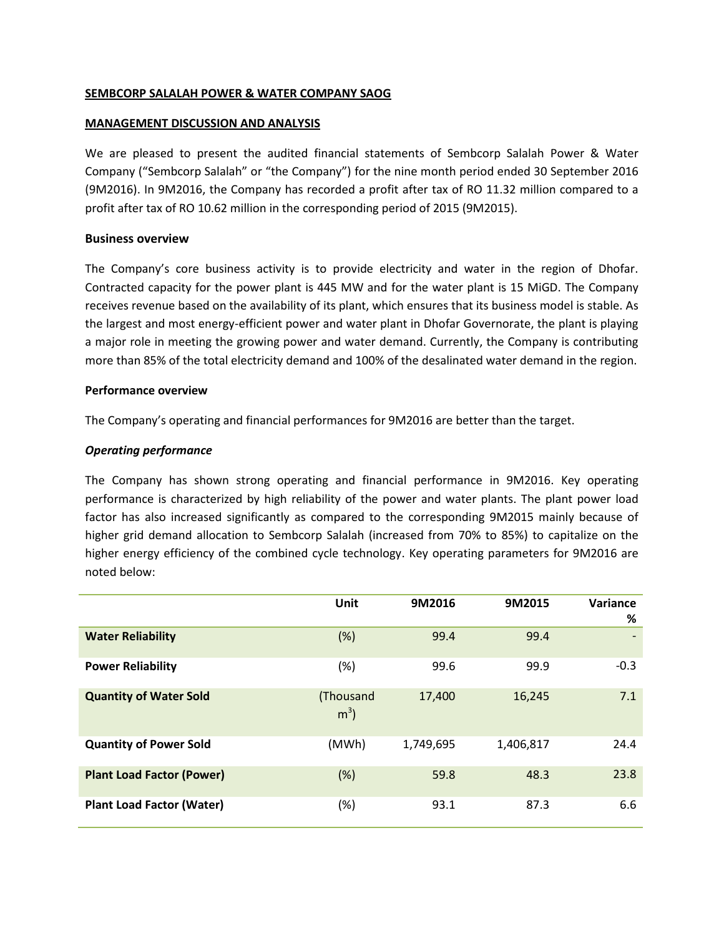## **SEMBCORP SALALAH POWER & WATER COMPANY SAOG**

#### **MANAGEMENT DISCUSSION AND ANALYSIS**

We are pleased to present the audited financial statements of Sembcorp Salalah Power & Water Company ("Sembcorp Salalah" or "the Company") for the nine month period ended 30 September 2016 (9M2016). In 9M2016, the Company has recorded a profit after tax of RO 11.32 million compared to a profit after tax of RO 10.62 million in the corresponding period of 2015 (9M2015).

## **Business overview**

The Company's core business activity is to provide electricity and water in the region of Dhofar. Contracted capacity for the power plant is 445 MW and for the water plant is 15 MiGD. The Company receives revenue based on the availability of its plant, which ensures that its business model is stable. As the largest and most energy-efficient power and water plant in Dhofar Governorate, the plant is playing a major role in meeting the growing power and water demand. Currently, the Company is contributing more than 85% of the total electricity demand and 100% of the desalinated water demand in the region.

## **Performance overview**

The Company's operating and financial performances for 9M2016 are better than the target.

# *Operating performance*

The Company has shown strong operating and financial performance in 9M2016. Key operating performance is characterized by high reliability of the power and water plants. The plant power load factor has also increased significantly as compared to the corresponding 9M2015 mainly because of higher grid demand allocation to Sembcorp Salalah (increased from 70% to 85%) to capitalize on the higher energy efficiency of the combined cycle technology. Key operating parameters for 9M2016 are noted below:

|                                  | Unit                        | 9M2016    | 9M2015    | Variance<br>% |
|----------------------------------|-----------------------------|-----------|-----------|---------------|
| <b>Water Reliability</b>         | (%)                         | 99.4      | 99.4      |               |
| <b>Power Reliability</b>         | $(\%)$                      | 99.6      | 99.9      | $-0.3$        |
| <b>Quantity of Water Sold</b>    | (Thousand<br>m <sup>3</sup> | 17,400    | 16,245    | 7.1           |
| <b>Quantity of Power Sold</b>    | (MWh)                       | 1,749,695 | 1,406,817 | 24.4          |
| <b>Plant Load Factor (Power)</b> | (%)                         | 59.8      | 48.3      | 23.8          |
| <b>Plant Load Factor (Water)</b> | $(\%)$                      | 93.1      | 87.3      | 6.6           |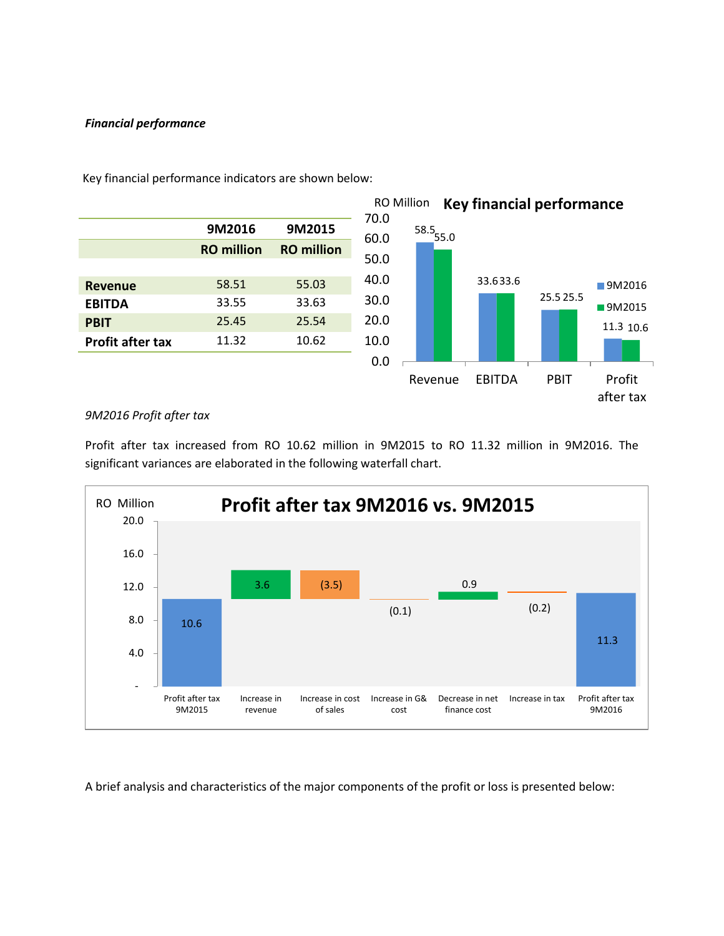# *Financial performance*



Key financial performance indicators are shown below:

# *9M2016 Profit after tax*

Profit after tax increased from RO 10.62 million in 9M2015 to RO 11.32 million in 9M2016. The significant variances are elaborated in the following waterfall chart.



A brief analysis and characteristics of the major components of the profit or loss is presented below: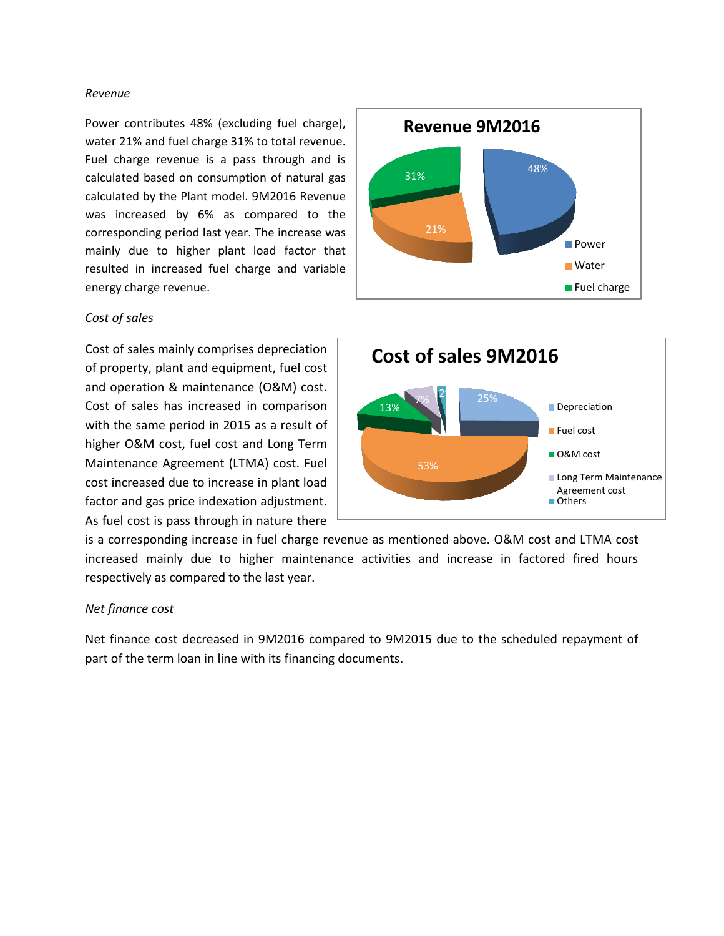#### *Revenue*

Power contributes 48% (excluding fuel charge), water 21% and fuel charge 31% to total revenue. Fuel charge revenue is a pass through and is calculated based on consumption of natural gas calculated by the Plant model. 9M2016 Revenue was increased by 6% as compared to the corresponding period last year. The increase was mainly due to higher plant load factor that resulted in increased fuel charge and variable energy charge revenue.

## *Cost of sales*

Cost of sales mainly comprises depreciation of property, plant and equipment, fuel cost and operation & maintenance (O&M) cost. Cost of sales has increased in comparison with the same period in 2015 as a result of higher O&M cost, fuel cost and Long Term Maintenance Agreement (LTMA) cost. Fuel cost increased due to increase in plant load factor and gas price indexation adjustment. As fuel cost is pass through in nature there





is a corresponding increase in fuel charge revenue as mentioned above. O&M cost and LTMA cost increased mainly due to higher maintenance activities and increase in factored fired hours respectively as compared to the last year.

# *Net finance cost*

Net finance cost decreased in 9M2016 compared to 9M2015 due to the scheduled repayment of part of the term loan in line with its financing documents.